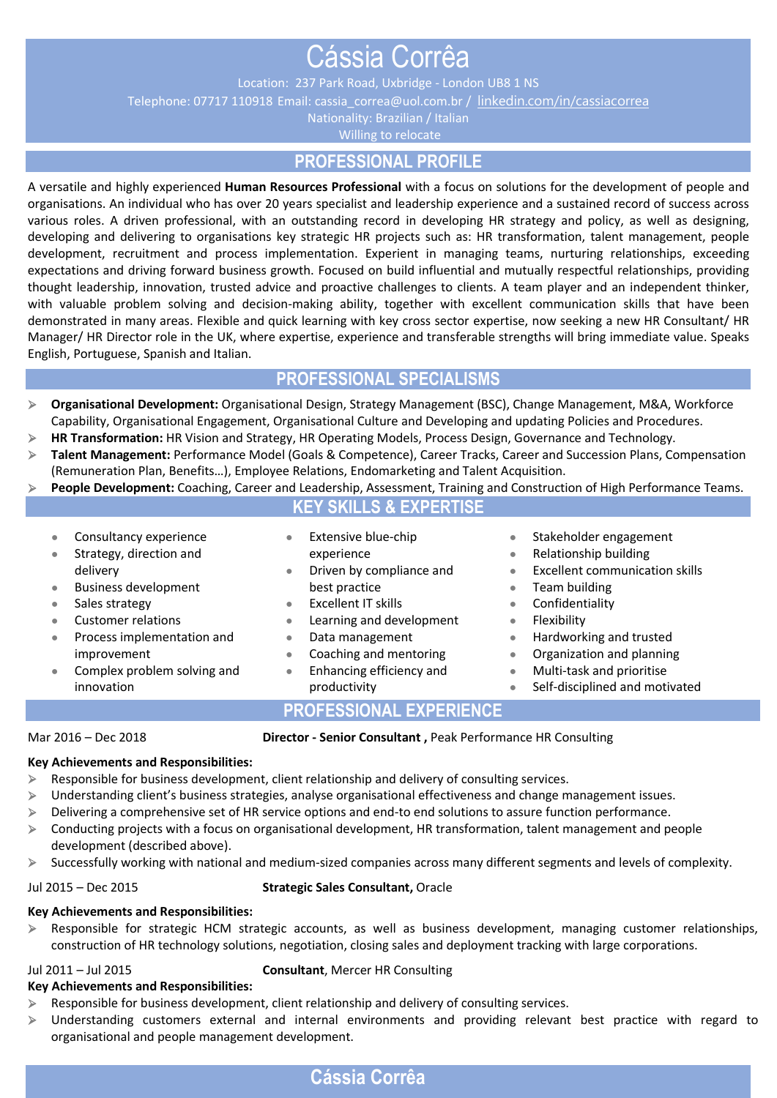# Cássia Corrêa

Location: 237 Park Road, Uxbridge - London UB8 1 NS

Telephone: 07717 110918 Email: [cassia\\_correa@uol.com.br](mailto:cassia_correa@uol.com.br) / [linkedin.com/in/cassiacorrea](https://www.linkedin.com/in/cassiacorrea)

Nationality: Brazilian / Italian

Willing to relocate

# **PROFESSIONAL PROFILE**

A versatile and highly experienced **Human Resources Professional** with a focus on solutions for the development of people and organisations. An individual who has over 20 years specialist and leadership experience and a sustained record of success across various roles. A driven professional, with an outstanding record in developing HR strategy and policy, as well as designing, developing and delivering to organisations key strategic HR projects such as: HR transformation, talent management, people development, recruitment and process implementation. Experient in managing teams, nurturing relationships, exceeding expectations and driving forward business growth. Focused on build influential and mutually respectful relationships, providing thought leadership, innovation, trusted advice and proactive challenges to clients. A team player and an independent thinker, with valuable problem solving and decision-making ability, together with excellent communication skills that have been demonstrated in many areas. Flexible and quick learning with key cross sector expertise, now seeking a new HR Consultant/ HR Manager/ HR Director role in the UK, where expertise, experience and transferable strengths will bring immediate value. Speaks English, Portuguese, Spanish and Italian.

# **PROFESSIONAL SPECIALISMS**

| Organisational Development: Organisational Design, Strategy Management (BSC), Change Management, M&A, Workforce    |
|--------------------------------------------------------------------------------------------------------------------|
| Capability, Organisational Engagement, Organisational Culture and Developing and updating Policies and Procedures. |

- ➢ **HR Transformation:** HR Vision and Strategy, HR Operating Models, Process Design, Governance and Technology.
- ➢ **Talent Management:** Performance Model (Goals & Competence), Career Tracks, Career and Succession Plans, Compensation (Remuneration Plan, Benefits…), Employee Relations, Endomarketing and Talent Acquisition.
- People Development: Coaching, Career and Leadership, Assessment, Training and Construction of High Performance Teams. **KEY SKILLS & EXPERTISE**
	- **●** Consultancy experience
	- **●** Strategy, direction and delivery
	- **●** Business development
	- **●** Sales strategy
	- **●** Customer relations
	- **●** Process implementation and improvement
	- **●** Complex problem solving and innovation
- **Extensive blue-chip** experience
- **●** Driven by compliance and best practice
- **●** Excellent IT skills
- **●** Learning and development
- **●** Data management
- **●** Coaching and mentoring
- **●** Enhancing efficiency and productivity
- **●** Stakeholder engagement **●** Relationship building
- 
- **●** Excellent communication skills
- **●** Team building
	- **●** Confidentiality
	- **●** Flexibility
	- **●** Hardworking and trusted
	- **●** Organization and planning
	- **●** Multi-task and prioritise
	- **●** Self-disciplined and motivated

**PROFESSIONAL EXPERIENCE** 

Mar 2016 – Dec 2018 **Director - Senior Consultant ,** Peak Performance HR Consulting

#### **Key Achievements and Responsibilities:**

- $\triangleright$  Responsible for business development, client relationship and delivery of consulting services.
- ➢ Understanding client's business strategies, analyse organisational effectiveness and change management issues.
- ➢ Delivering a comprehensive set of HR service options and end-to end solutions to assure function performance.
- ➢ Conducting projects with a focus on organisational development, HR transformation, talent management and people development (described above).
- ➢ Successfully working with national and medium-sized companies across many different segments and levels of complexity.

#### Jul 2015 – Dec 2015 **Strategic Sales Consultant,** Oracle

### **Key Achievements and Responsibilities:**

➢ Responsible for strategic HCM strategic accounts, as well as business development, managing customer relationships, construction of HR technology solutions, negotiation, closing sales and deployment tracking with large corporations.

#### Jul 2011 – Jul 2015 **Consultant**, Mercer HR Consulting

#### **Key Achievements and Responsibilities:**

- $\triangleright$  Responsible for business development, client relationship and delivery of consulting services.
- ➢ Understanding customers external and internal environments and providing relevant best practice with regard to organisational and people management development.